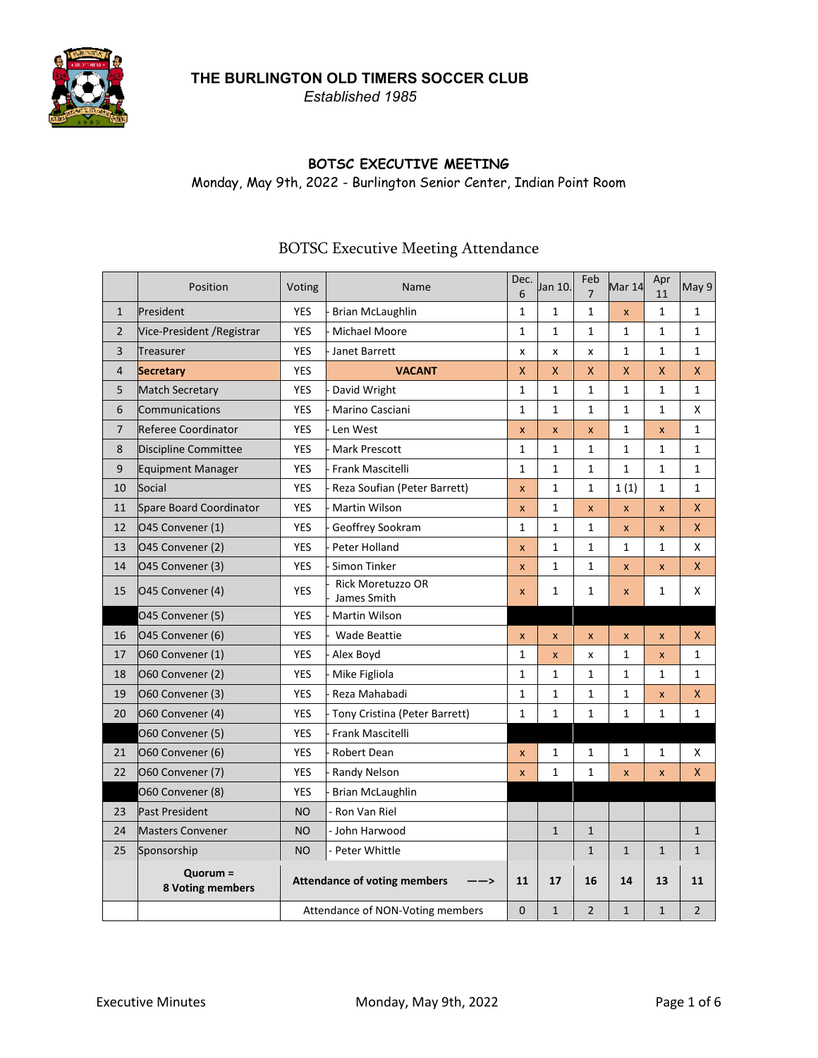*Established 1985*



## **BOTSC EXECUTIVE MEETING**

Monday, May 9th, 2022 - Burlington Senior Center, Indian Point Room

#### Position Voting Value Name Dec. 6 Jan 10. Feb 7 Mar 14 Apr 11 May 9 1 President YES - Brian McLaughlin 1 1 1 x 1 1 2 Vice-President /Registrar | YES - Michael Moore | 1 | 1 | 1 | 1 | 1 | 1 | 1 3 Treasurer YES - Janet Barrett x x x 1 1 1 4 **Secretary** YES **VACANT** X X X X X X 5 Match Secretary YES - David Wright 1 1 1 1 1 1 6 Communications  $YES$  - Marino Casciani  $11$  1 1 1 1  $1$   $1$   $1$   $1$   $1$   $1$   $1$   $1$ 7 Referee Coordinator YES - Len West x x x 1 x 1 8 Discipline Committee YES - Mark Prescott 1 1 1 1 1 1 9 Equipment Manager YES - Frank Mascitelli 1 1 1 1 1 1 10 Social YES - Reza Soufian (Peter Barrett)  $x \mid 1 \mid 1 \mid 1$   $\mid 1 \mid 1$ 11 Spare Board Coordinator | YES | Martin Wilson  $x \mid x \mid x \mid x \mid x \mid x$  | x | x | x 12  $\sqrt{}$  O45 Convener (1)  $\sqrt{ }$  YES  $\sqrt{ }$  Geoffrey Sookram  $\sqrt{1}$  1 1  $\sqrt{2}$  x  $\sqrt{2}$  X 13  $\vert$  O45 Convener (2)  $\vert$  YES - Peter Holland  $\vert$  x  $\vert$  1  $\vert$  1  $\vert$  1  $\vert$  1  $\vert$  X 14  $\vert$  O45 Convener (3)  $\vert$  YES - Simon Tinker  $\vert$  x  $\vert$  x  $\vert$  1  $\vert$  x  $\vert$  x  $\vert$  x  $\vert$  x 15 O45 Convener (4) YES Rick Moretuzzo OR - James Smith <sup>x</sup> <sup>1</sup> <sup>1</sup> <sup>x</sup> <sup>1</sup> <sup>X</sup> O45 Convener (5) YES - Martin Wilson 16 O45 Convener (6) YES - Wade Beattie x x x x x X 17 O60 Convener (1) YES - Alex Boyd 1 x  $1 x x x 1 x 1 x 1 x 1$ 18 O60 Convener (2) YES - Mike Figliola 1 1 1 1 1 1 19  $\vert$  O60 Convener (3)  $\vert$  YES  $\vert$  - Reza Mahabadi  $\vert$  1  $\vert$  1  $\vert$  1  $\vert$  1  $\vert$  x  $\vert$  X 20  $\vert$  O60 Convener (4) YES - Tony Cristina (Peter Barrett)  $\vert$  1  $\vert$  1  $\vert$  1  $\vert$  1  $\vert$  1  $\vert$  1 O60 Convener (5) YES - Frank Mascitelli 21  $\vert$  O60 Convener (6)  $\vert$  YES  $\vert$  Robert Dean  $\vert$  x  $\vert$  1  $\vert$  1  $\vert$  1  $\vert$  1  $\vert$  X 22  $\vert$  O60 Convener (7)  $\vert$  YES  $\vert$  Randy Nelson  $\vert$  x  $\vert$  1  $\vert$  x  $\vert$  x  $\vert$  x  $\vert$  X O60 Convener (8) The State State State State State State State State State State State State State State State 23 Past President NO - Ron Van Riel 24 Masters Convener NO - John Harwood 1 1 1 25 Sponsorship | NO |- Peter Whittle | | 1 | 1 | 1 | 1 | 1 **Quorum = 8 Voting members Attendance of voting members ——> 11 17 16 14 13 11** Attendance of NON-Voting members 0 1 2 1 1 2

# BOTSC Executive Meeting Attendance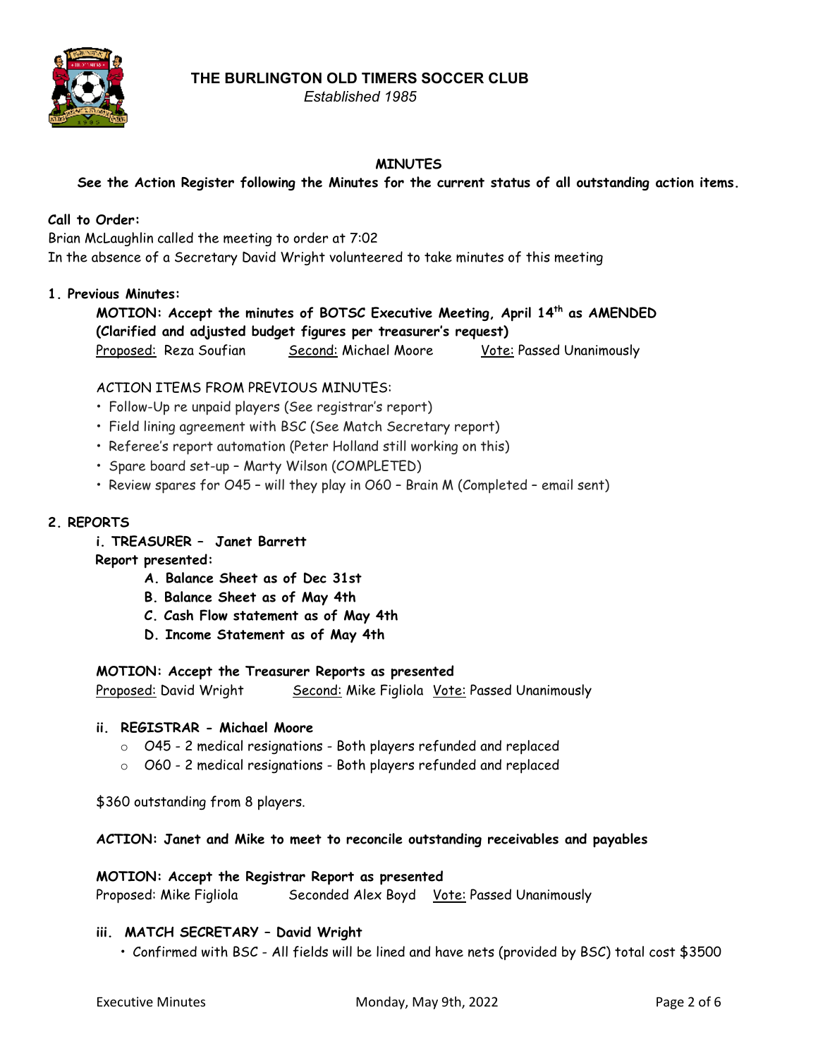

# *Established 1985*

# **MINUTES**

**See the Action Register following the Minutes for the current status of all outstanding action items.**

# **Call to Order:**

Brian McLaughlin called the meeting to order at 7:02 In the absence of a Secretary David Wright volunteered to take minutes of this meeting

## **1. Previous Minutes:**

**MOTION: Accept the minutes of BOTSC Executive Meeting, April 14th as AMENDED (Clarified and adjusted budget figures per treasurer's request)** Proposed: Reza Soufian Second: Michael Moore Vote: Passed Unanimously

## ACTION ITEMS FROM PREVIOUS MINUTES:

- Follow-Up re unpaid players (See registrar's report)
- Field lining agreement with BSC (See Match Secretary report)
- Referee's report automation (Peter Holland still working on this)
- Spare board set-up Marty Wilson (COMPLETED)
- Review spares for O45 will they play in O60 Brain M (Completed email sent)

## **2. REPORTS**

**i. TREASURER – Janet Barrett**

## **Report presented:**

- **A. Balance Sheet as of Dec 31st**
- **B. Balance Sheet as of May 4th**
- **C. Cash Flow statement as of May 4th**
- **D. Income Statement as of May 4th**

## **MOTION: Accept the Treasurer Reports as presented**

Proposed: David Wright Second: Mike Figliola Vote: Passed Unanimously

## **ii. REGISTRAR - Michael Moore**

- o O45 2 medical resignations Both players refunded and replaced
- o O60 2 medical resignations Both players refunded and replaced

\$360 outstanding from 8 players.

## **ACTION: Janet and Mike to meet to reconcile outstanding receivables and payables**

## **MOTION: Accept the Registrar Report as presented** Proposed: Mike Figliola Seconded Alex Boyd Vote: Passed Unanimously

## **iii. MATCH SECRETARY – David Wright**

• Confirmed with BSC - All fields will be lined and have nets (provided by BSC) total cost \$3500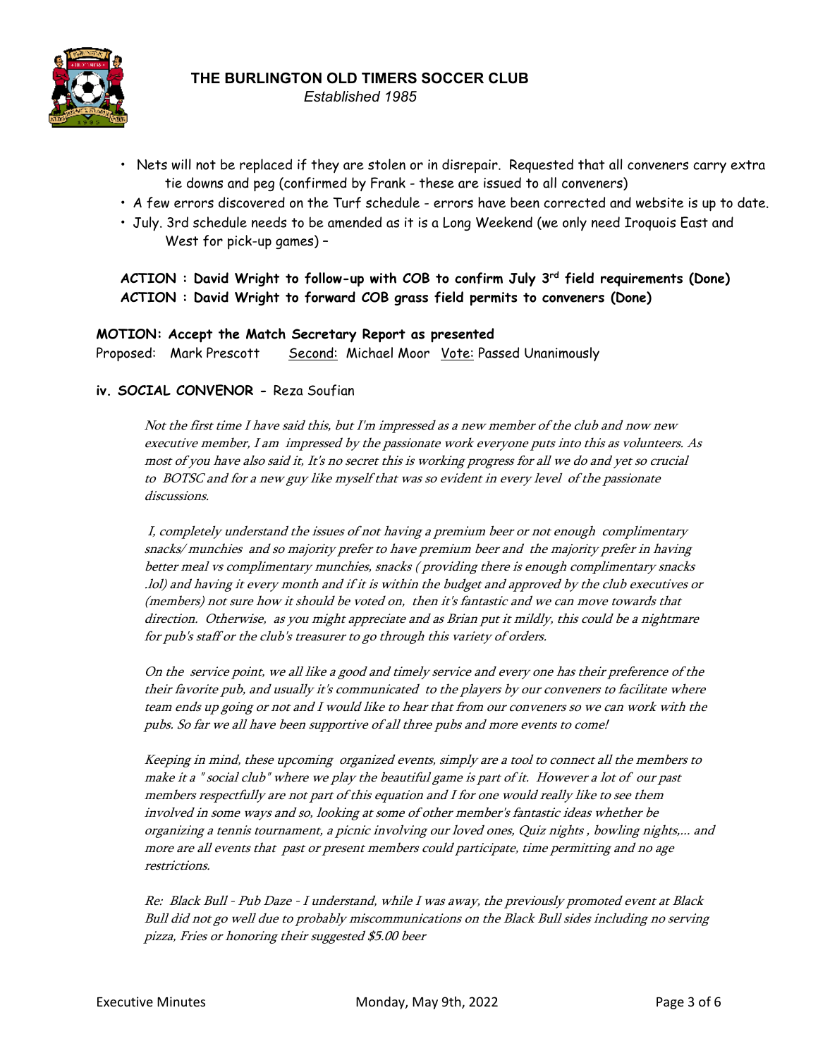

*Established 1985*

- Nets will not be replaced if they are stolen or in disrepair. Requested that all conveners carry extra tie downs and peg (confirmed by Frank - these are issued to all conveners)
- A few errors discovered on the Turf schedule errors have been corrected and website is up to date.
- July. 3rd schedule needs to be amended as it is a Long Weekend (we only need Iroquois East and West for pick-up games) –

**ACTION : David Wright to follow-up with COB to confirm July 3 rd field requirements (Done) ACTION : David Wright to forward COB grass field permits to conveners (Done)**

#### **MOTION: Accept the Match Secretary Report as presented**

Proposed: Mark Prescott Second: Michael Moor Vote: Passed Unanimously

## **iv. SOCIAL CONVENOR -** Reza Soufian

Not the first time I have said this, but I'm impressed as <sup>a</sup> new member of the club and now new executive member, <sup>I</sup> am impressed by the passionate work everyone puts into this as volunteers. As most of you have also said it, It's no secret this is working progress for all we do and yet so crucial to BOTSC and for <sup>a</sup> new guy like myself that was so evident in every level of the passionate discussions.

I, completely understand the issues of not having <sup>a</sup> premium beer or not enough complimentary snacks/ munchies and so majority prefer to have premium beer and the majority prefer in having better meal vs complimentary munchies, snacks ( providing there is enough complimentary snacks .lol) and having it every month and if it is within the budget and approved by the club executives or (members) not sure how it should be voted on, then it's fantastic and we can move towards that direction. Otherwise, as you might appreciate and as Brian put it mildly, this could be <sup>a</sup> nightmare for pub's staff or the club's treasurer to go through this variety of orders.

On the service point, we all like <sup>a</sup> good and timely service and every one has their preference of the their favorite pub, and usually it's communicated to the players by our conveners to facilitate where team ends up going or not and <sup>I</sup> would like to hear that from our conveners so we can work with the pubs. So far we all have been supportive of all three pubs and more events to come!

Keeping in mind, these upcoming organized events, simply are <sup>a</sup> tool to connect all the members to make it <sup>a</sup> " social club" where we play the beautiful game is part of it. However <sup>a</sup> lot of our past members respectfully are not part of this equation and <sup>I</sup> for one would really like to see them involved in some ways and so, looking at some of other member's fantastic ideas whether be organizing <sup>a</sup> tennis tournament, <sup>a</sup> picnic involving our loved ones, Quiz nights , bowling nights,... and more are all events that past or present members could participate, time permitting and no age restrictions.

Re: Black Bull - Pub Daze - <sup>I</sup> understand, while <sup>I</sup> was away, the previously promoted event at Black Bull did not go well due to probably miscommunications on the Black Bull sides including no serving pizza, Fries or honoring their suggested \$5.00 beer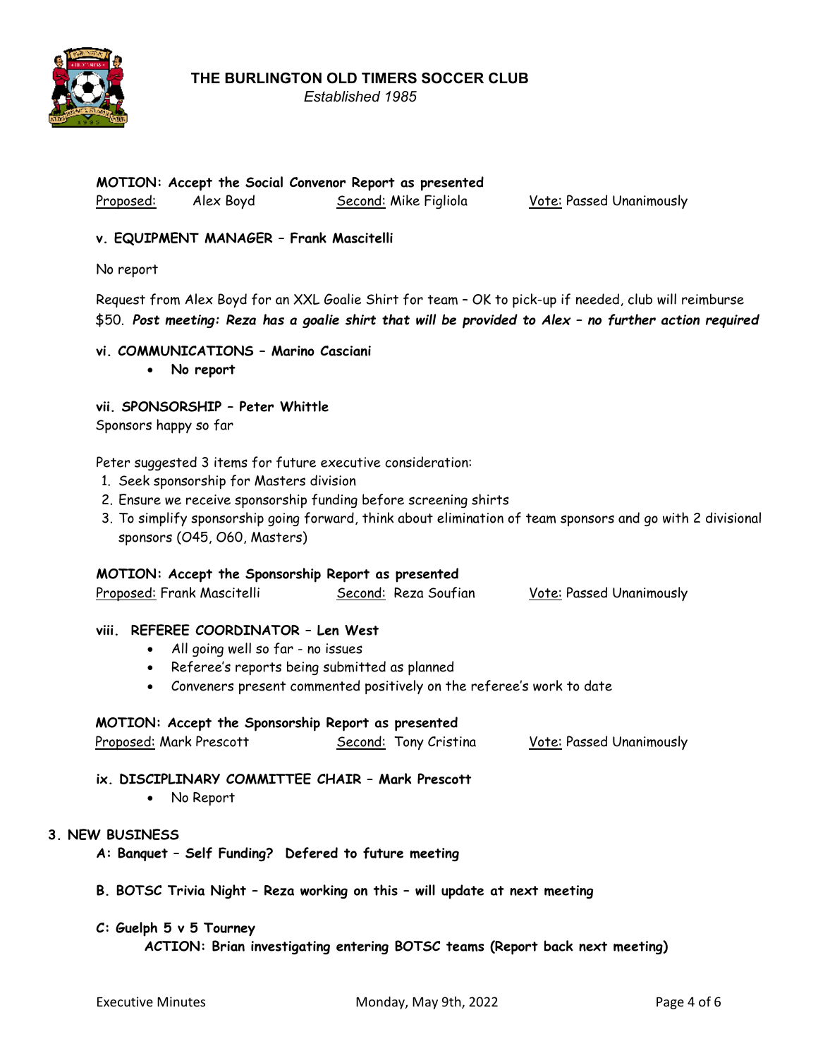

*Established 1985*

## **MOTION: Accept the Social Convenor Report as presented** Proposed: Alex Boyd Second: Mike Figliola Vote: Passed Unanimously

## **v. EQUIPMENT MANAGER – Frank Mascitelli**

No report

Request from Alex Boyd for an XXL Goalie Shirt for team – OK to pick-up if needed, club will reimburse \$50. Post meeting: Reza has a goalie shirt that will be provided to Alex - no further action required

## **vi. COMMUNICATIONS – Marino Casciani**

• **No report**

#### **vii. SPONSORSHIP – Peter Whittle**

Sponsors happy so far

Peter suggested 3 items for future executive consideration:

- 1. Seek sponsorship for Masters division
- 2. Ensure we receive sponsorship funding before screening shirts
- 3. To simplify sponsorship going forward, think about elimination of team sponsors and go with 2 divisional sponsors (O45, O60, Masters)

#### **MOTION: Accept the Sponsorship Report as presented**

| Proposed: Frank Mascitelli | Second: Reza Soufian | <b>Vote: Passed Unanimously</b> |
|----------------------------|----------------------|---------------------------------|
|----------------------------|----------------------|---------------------------------|

#### **viii. REFEREE COORDINATOR – Len West**

- All going well so far no issues
- Referee's reports being submitted as planned
- Conveners present commented positively on the referee's work to date

#### **MOTION: Accept the Sponsorship Report as presented**

|  | Proposed: Mark Prescott |  | Second: Tony Cristina | <b>Vote: Passed Unanimously</b> |
|--|-------------------------|--|-----------------------|---------------------------------|
|--|-------------------------|--|-----------------------|---------------------------------|

## **ix. DISCIPLINARY COMMITTEE CHAIR – Mark Prescott**

#### • No Report

## **3. NEW BUSINESS**

- **A: Banquet – Self Funding? Defered to future meeting**
- **B. BOTSC Trivia Night – Reza working on this – will update at next meeting**

#### **C: Guelph 5 v 5 Tourney**

**ACTION: Brian investigating entering BOTSC teams (Report back next meeting)**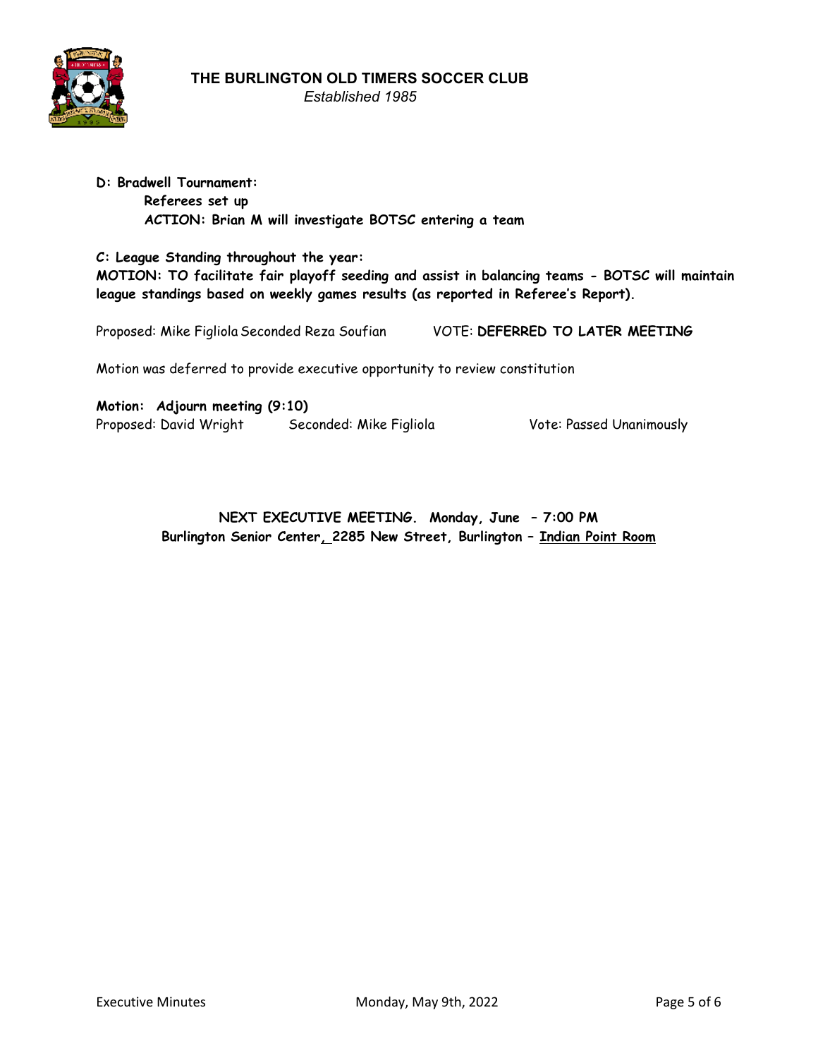

*Established 1985*

# **D: Bradwell Tournament: Referees set up ACTION: Brian M will investigate BOTSC entering a team**

**C: League Standing throughout the year: MOTION: TO facilitate fair playoff seeding and assist in balancing teams - BOTSC will maintain league standings based on weekly games results (as reported in Referee's Report).**

Proposed: Mike Figliola Seconded Reza Soufian VOTE: **DEFERRED TO LATER MEETING**

Motion was deferred to provide executive opportunity to review constitution

**Motion: Adjourn meeting (9:10)** Proposed: David Wright Seconded: Mike Figliola Vote: Passed Unanimously

**NEXT EXECUTIVE MEETING. Monday, June – 7:00 PM Burlington Senior Center, 2285 New Street, Burlington – Indian Point Room**